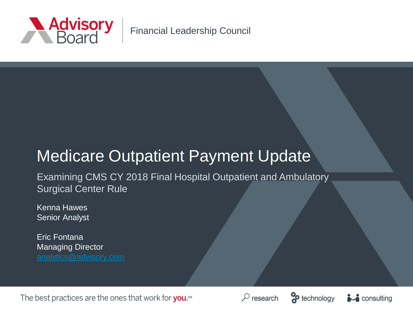

Financial Leadership Council

# Medicare Outpatient Payment Update

Examining CMS CY 2018 Final Hospital Outpatient and Ambulatory Surgical Center Rule

Kenna Hawes Senior Analyst

Eric Fontana Managing Director

The best practices are the ones that work for you.<sup>5M</sup>





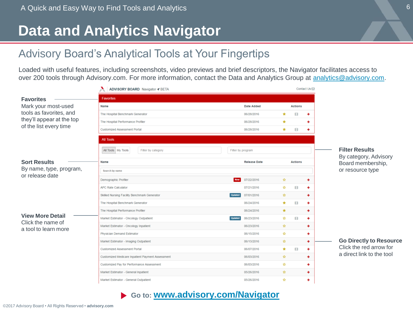### **Data and Analytics Navigator**

### Advisory Board's Analytical Tools at Your Fingertips

Loaded with useful features, including screenshots, video previews and brief descriptors, the Navigator facilitates access to over 200 tools through Advisory.com. For more information, contact the Data and Analytics Group at [analytics@advisory.com](mailto:analytics@advisory.com).

|                                              | <b>ADVISORY BOARD Navigator ◀ BETA</b>           |                              | Contact Us <sup>[2]</sup>    |                                                |
|----------------------------------------------|--------------------------------------------------|------------------------------|------------------------------|------------------------------------------------|
| <b>Favorites</b>                             | <b>Favorites</b>                                 |                              |                              |                                                |
| Mark your most-used                          | Name                                             | <b>Date Added</b>            | <b>Actions</b>               |                                                |
| tools as favorites, and                      | The Hospital Benchmark Generator                 | 06/28/2016                   | ۰<br>A<br>→                  |                                                |
| they'll appear at the top                    | The Hospital Performance Profiler                | 06/28/2016                   | $\star$<br>→                 |                                                |
| of the list every time                       | <b>Customized Assessment Portal</b>              | 06/28/2016                   | $\star$<br>日<br>→            |                                                |
|                                              | <b>All Tools</b>                                 |                              |                              |                                                |
|                                              | All Tools My Tools<br>Filter by category         | Filter by program            |                              | <b>Filter Results</b><br>By category, Advisory |
| <b>Sort Results</b>                          | Name                                             | <b>Release Date</b>          | <b>Actions</b>               | Board membership,                              |
| By name, type, program,                      | Search by name                                   |                              |                              | or resource type                               |
| or release date                              | Demographic Profiler                             | <b>New</b><br>07/22/2016     | $\mathbf{r}$<br>٠            |                                                |
|                                              | <b>APC Rate Calculator</b>                       | 07/21/2016                   | *<br>$\mathbf{H}$<br>٠       |                                                |
|                                              | Skilled Nursing Facility Benchmark Generator     | <b>Updated</b><br>07/01/2016 | YZ.<br>٠                     |                                                |
|                                              | The Hospital Benchmark Generator                 | 06/24/2016                   | $\star$<br>$\Box$<br>٠       |                                                |
|                                              | The Hospital Performance Profiler                | 06/24/2016                   | $\star$<br>٠                 |                                                |
| <b>View More Detail</b><br>Click the name of | Market Estimator - Oncology Outpatient           | Updated<br>06/23/2016        | ŵ.<br>$\Box$<br>→            |                                                |
| a tool to learn more                         | Market Estimator - Oncology Inpatient            | 06/23/2016                   | ŵ.<br>٠                      |                                                |
|                                              | <b>Physician Demand Estimator</b>                | 06/15/2016                   | ŵ.<br>٠                      |                                                |
|                                              | Market Estimator - Imaging Outpatient            | 06/13/2016                   | ÷.<br>٠                      | <b>Go Directly to Resource</b>                 |
|                                              | <b>Customized Assessment Portal</b>              | 06/07/2016                   | $\star$<br>$\mathbf{H}$<br>٠ | Click the red arrow for                        |
|                                              | Customized Medicare Inpatient Payment Assessment | 06/03/2016                   | ŵ.<br>٠                      | a direct link to the tool                      |
|                                              | Customized Pay for Performance Assessment        | 06/03/2016                   | ŵ<br>٠                       |                                                |
|                                              | Market Estimator - General Inpatient             | 05/26/2016                   | ÷.<br>٠                      |                                                |
|                                              | Market Estimator - General Outpatient            | 05/26/2016                   | ÷<br>٠                       |                                                |

#### **Go to: [www.advisory.com/Navigator](http://www.advisory.com/Navigator)**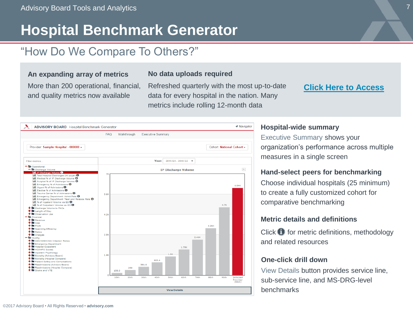# **Hospital Benchmark Generator**

### "How Do We Compare To Others?"

#### **An expanding array of metrics**

More than 200 operational, financial, and quality metrics now available

#### **No data uploads required**

Refreshed quarterly with the most up-to-date data for every hospital in the nation. Many metrics include rolling 12-month data

#### **[Click Here to Access](http://www.advisory.com/Research/Health-Care-Advisory-Board/Tools/2014/Benchmark-Generator)**



#### **Hospital-wide summary**

Executive Summary shows your organization's performance across multiple measures in a single screen

#### **Hand-select peers for benchmarking**

Choose individual hospitals (25 minimum) to create a fully customized cohort for comparative benchmarking

#### **Metric details and definitions**

Click  $\bigoplus$  for metric definitions, methodology and related resources

#### **One-click drill down**

View Details button provides service line, sub-service line, and MS-DRG-level benchmarks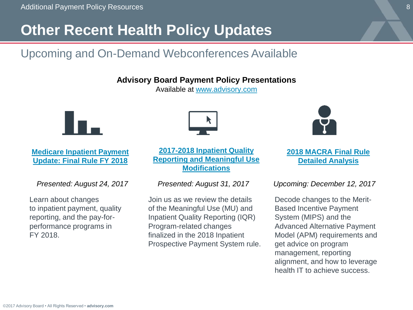# **Other Recent Health Policy Updates**

### Upcoming and On-Demand Webconferences Available

**Advisory Board Payment Policy Presentations**

Available at [www.advisory.com](http://www.advisory.com/)



#### **Medicare Inpatient Payment [Update: Final Rule FY 2018](https://www.advisory.com/research/financial-leadership-council/events/webconferences/2017/medicare-payment-update-final-rule-for-hospital-inpatient-payments)**

*Presented: August 24, 2017*

Learn about changes to inpatient payment, quality reporting, and the pay-forperformance programs in FY 2018.



**2017-2018 Inpatient Quality [Reporting and Meaningful Use](https://www.advisory.com/research/health-care-it-advisor/events/webconferences/2017/2017-2018-inpatient-quality-reporting-and-meaningful-use-modifications-083117)  Modifications**

#### *Presented: August 31, 2017*

Join us as we review the details of the Meaningful Use (MU) and Inpatient Quality Reporting (IQR) Program-related changes finalized in the 2018 Inpatient Prospective Payment System rule.



**[2018 MACRA Final Rule](https://www.advisory.com/research/quality-reporting-roundtable/events/webconferences/2018-macra-final-rule-detailed-analysis)  Detailed Analysis**

#### *Upcoming: December 12, 2017*

Decode changes to the Merit-Based Incentive Payment System (MIPS) and the Advanced Alternative Payment Model (APM) requirements and get advice on program management, reporting alignment, and how to leverage health IT to achieve success.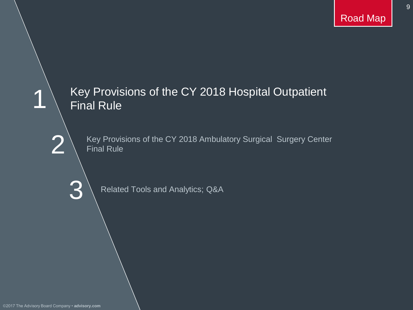9

# 2 3 1 Key Provisions of the CY 2018 Hospital Outpatient Final Rule Key Provisions of the CY 2018 Ambulatory Surgical Surgery Center Final Rule Related Tools and Analytics; Q&A

©2017 The Advisory Board Company • **advisory.com**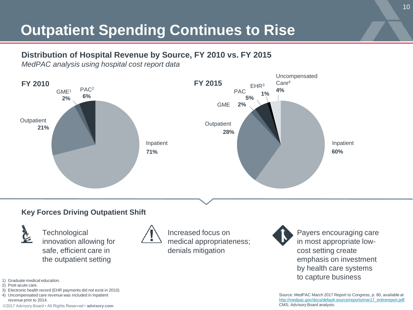# **Outpatient Spending Continues to Rise**

#### **Distribution of Hospital Revenue by Source, FY 2010 vs. FY 2015**

*MedPAC analysis using hospital cost report data*



#### **Key Forces Driving Outpatient Shift**



**Technological** innovation allowing for safe, efficient care in the outpatient setting



Increased focus on medical appropriateness; denials mitigation

Payers encouraging care in most appropriate lowcost setting create emphasis on investment by health care systems to capture business

Source: MedPAC March 2017 Report to Congress, p. 80, available at [http://medpac.gov/docs/default-source/reports/mar17\\_entirereport.pdf](http://medpac.gov/docs/default-source/reports/mar17_entirereport.pdf); CMS; Advisory Board analysis.

- 1) Graduate medical education.
- 2) Post-acute care.
- 3) Electronic health record (EHR payments did not exist in 2010).
- 4) Uncompensated care revenue was included in Inpatient revenue prior to 2014.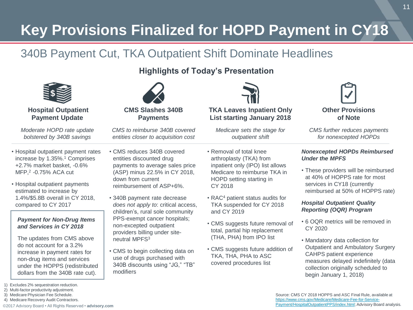# **Key Provisions Finalized for HOPD Payment in CY18**

### 340B Payment Cut, TKA Outpatient Shift Dominate Headlines

#### **Highlights of Today's Presentation**



**Hospital Outpatient Payment Update**

*Moderate HOPD rate update bolstered by 340B savings*

- Hospital outpatient payment rates increase by 1.35%.<sup>1</sup> Comprises +2.7% market basket, -0.6% MFP,<sup>2</sup> -0.75% ACA cut
- Hospital outpatient payments estimated to increase by 1.4%/\$5.8B overall in CY 2018, compared to CY 2017

#### *Payment for Non-Drug Items and Services in CY 2018*

The updates from CMS above do not account for a 3.2% increase in payment rates for non-drug items and services under the HOPPS (redistributed dollars from the 340B rate cut).

4) Medicare Recovery Audit Contractors.



**Payments**

*CMS to reimburse 340B covered entities closer to acquisition cost*

- CMS reduces 340B covered entities discounted drug payments to average sales price (ASP) minus 22.5% in CY 2018, down from current reimbursement of ASP+6%.
- 340B payment rate decrease *does not apply to*: critical access, children's, rural sole community PPS-exempt cancer hospitals; non-excepted outpatient providers billing under siteneutral MPFS<sup>3</sup>
- CMS to begin collecting data on use of drugs purchased with 340B discounts using "JG," "TB" modifiers



**List starting January 2018**

*Medicare sets the stage for outpatient shift*

- Removal of total knee arthroplasty (TKA) from inpatient only (IPO) list allows Medicare to reimburse TKA in HOPD setting starting in CY 2018
- RAC<sup>4</sup> patient status audits for TKA suspended for CY 2018 and CY 2019
- CMS suggests future removal of total, partial hip replacement (THA, PHA) from IPO list
- CMS suggests future addition of TKA, THA, PHA to ASC covered procedures list



*CMS further reduces payments for nonexcepted HOPDs*

#### *Nonexcepted HOPDs Reimbursed Under the MPFS*

• These providers will be reimbursed at 40% of HOPPS rate for most services in CY18 (currently reimbursed at 50% of HOPPS rate)

#### *Hospital Outpatient Quality Reporting (OQR) Program*

- 6 OQR metrics will be removed in CY 2020
- Mandatory data collection for Outpatient and Ambulatory Surgery CAHPS patient experience measures delayed indefinitely (data collection originally scheduled to begin January 1, 2018)

<sup>1)</sup> Excludes 2% sequestration reduction.

<sup>2)</sup> Multi-factor productivity adjustment. 3) Medicare Physician Fee Schedule.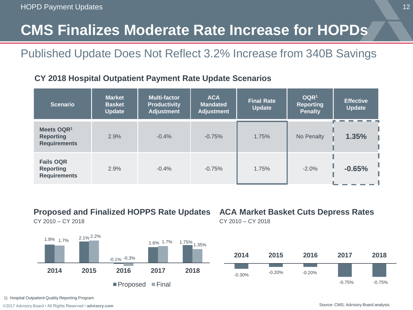# **CMS Finalizes Moderate Rate Increase for HOPDs**

### Published Update Does Not Reflect 3.2% Increase from 340B Savings

#### **CY 2018 Hospital Outpatient Payment Rate Update Scenarios**

| <b>Scenario</b>                                                   | <b>Market</b><br><b>Basket</b><br><b>Update</b> | Multi-factor<br><b>Productivity</b><br><b>Adjustment</b> | <b>ACA</b><br><b>Mandated</b><br>Adjustment | <b>Final Rate</b><br><b>Update</b> | OQR <sup>1</sup><br><b>Reporting</b><br>Penalty | <b>Effective</b><br>Update |
|-------------------------------------------------------------------|-------------------------------------------------|----------------------------------------------------------|---------------------------------------------|------------------------------------|-------------------------------------------------|----------------------------|
| Meets OQR <sup>1</sup><br><b>Reporting</b><br><b>Requirements</b> | 2.9%                                            | $-0.4%$                                                  | $-0.75%$                                    | 1.75%                              | No Penalty                                      | 1.35%                      |
| Fails OQR<br><b>Reporting</b><br><b>Requirements</b>              | 2.9%                                            | $-0.4%$                                                  | $-0.75%$                                    | 1.75%                              | $-2.0%$                                         | $-0.65%$                   |

#### **Proposed and Finalized HOPPS Rate Updates**

CY 2010 – CY 2018



### **ACA Market Basket Cuts Depress Rates**

CY 2010 – CY 2018



1) Hospital Outpatient Quality Reporting Program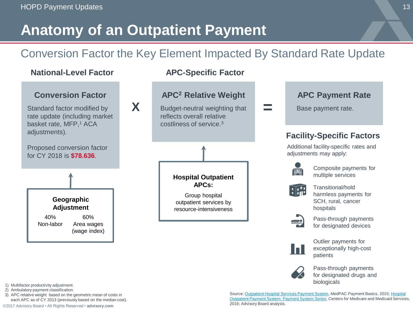# **Anatomy of an Outpatient Payment**

### Conversion Factor the Key Element Impacted By Standard Rate Update



1) Multifactor productivity adjustment.

- 2) Ambulatory payment classification.
- 3) APC relative weight based on the geometric mean of costs in each APC as of CY 2013 (previously based on the median cost).

biologicals

Pass-through payments for designated drugs and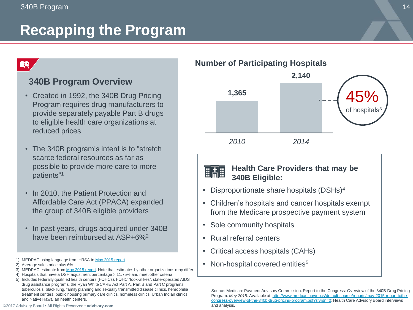# **Recapping the Program**

### **RQ**

#### **340B Program Overview**

- Created in 1992, the 340B Drug Pricing Program requires drug manufacturers to provide separately payable Part B drugs to eligible health care organizations at reduced prices
- The 340B program's intent is to "stretch scarce federal resources as far as possible to provide more care to more patients"<sup>1</sup>
- In 2010, the Patient Protection and Affordable Care Act (PPACA) expanded the group of 340B eligible providers
- In past years, drugs acquired under 340B have been reimbursed at ASP+6%<sup>2</sup>
- 1) MEDPAC using language from HRSA in [May 2015 report.](http://www.medpac.gov/docs/default-source/reports/may-2015-report-tothe-congress-overview-of-the-340b-drug-pricing-program.pdf?sfvrsn=0;)
- 2) Average sales price plus 6%.
- 3) MEDPAC estimate from [May 2015 report](http://www.medpac.gov/docs/default-source/reports/may-2015-report-tothe-congress-overview-of-the-340b-drug-pricing-program.pdf?sfvrsn=0;). Note that estimates by other organizations may differ.
- 4) Hospitals that have a DSH adjustment percentage > 11.75% and meet other criteria.
- 5) Includes federally qualified health centers (FQHCs), FQHC "look-alikes", state-operated AIDS drug assistance programs, the Ryan White CARE Act Part A, Part B and Part C programs, tuberculosis, black lung, family planning and sexually transmitted disease clinics, hemophilia treatment centers, public housing primary care clinics, homeless clinics, Urban Indian clinics, and Native Hawaiian health centers.



#### **Health Care Providers that may be HAH 340B Eligible:**

- Disproportionate share hospitals (DSHs)<sup>4</sup>
- Children's hospitals and cancer hospitals exempt from the Medicare prospective payment system
- Sole community hospitals
- Rural referral centers
- Critical access hospitals (CAHs)
- Non-hospital covered entities<sup>5</sup>

Source: Medicare Payment Advisory Commission. Report to the Congress: Overview of the 340B Drug Pricing Program. *May 2015.* Available at: http://www.medpac.gov/docs/default-source/reports/may-2015-report-tothe[congress-overview-of-the-340b-drug-pricing-program.pdf?sfvrsn=0; Health Care Advisory Board interviews](http://www.medpac.gov/docs/default-source/reports/may-2015-report-tothe-congress-overview-of-the-340b-drug-pricing-program.pdf?sfvrsn=0)  and analysis.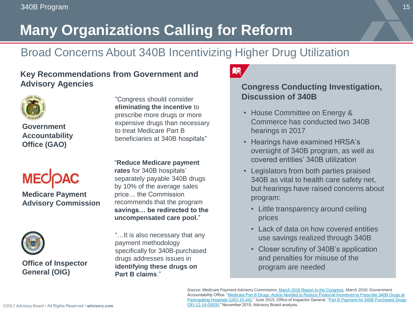# **Many Organizations Calling for Reform**

### Broad Concerns About 340B Incentivizing Higher Drug Utilization

#### **Key Recommendations from Government and Advisory Agencies**



**Government Accountability Office (GAO)**



**Medicare Payment Advisory Commission**



**Office of Inspector General (OIG)**

"Congress should consider **eliminating the incentive** to prescribe more drugs or more expensive drugs than necessary to treat Medicare Part B beneficiaries at 340B hospitals"

"**Reduce Medicare payment rates** for 340B hospitals' separately payable 340B drugs by 10% of the average sales price… the Commission recommends that the program **savings… be redirected to the uncompensated care pool.**"

"…It is also necessary that any payment methodology specifically for 340B-purchased drugs addresses issues in **identifying these drugs on Part B claims**."



#### **Congress Conducting Investigation, Discussion of 340B**

- House Committee on Energy & Commerce has conducted two 340B hearings in 2017
- Hearings have examined HRSA's oversight of 340B program, as well as covered entities' 340B utilization
- Legislators from both parties praised 340B as vital to health care safety net, but hearings have raised concerns about program:
	- Little transparency around ceiling prices
	- Lack of data on how covered entities use savings realized through 340B
	- Closer scrutiny of 340B's application and penalties for misuse of the program are needed

Source: Medicare Payment Advisory Commission. [March 2016 Report to the Congress,](http://www.medpac.gov/docs/default-source/reports/march-2016-report-to-the-congress-medicare-payment-policy.pdf?sfvrsn=0) *March 2016*; Government Accountability Office. "Medicare Part B Drugs: Action Needed to Reduce Financial Incentives to Prescribe 340B Drugs at [Participating Hospitals GAO-15-442," June 2015; Office of Inspector General. "Part B Payment for 340B Purchased Drug](https://www.gao.gov/assets/680/670676.pdf)[s](https://oig.hhs.gov/oei/reports/oei-12-14-00030.pdf)  OEI-12-14-00030," November 2015; Advisory Board analysis.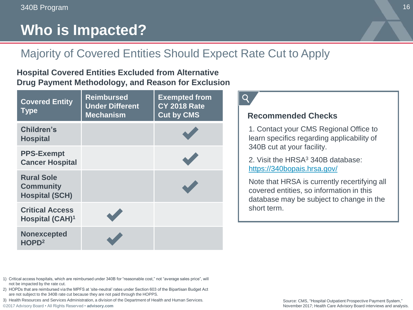# **Who is Impacted?**

### Majority of Covered Entities Should Expect Rate Cut to Apply

#### **Hospital Covered Entities Excluded from Alternative Drug Payment Methodology, and Reason for Exclusion**

| <b>Covered Entity</b><br><b>Type</b>                           | <b>Reimbursed</b><br><b>Under Different</b><br><b>Mechanism</b> | <b>Exempted from</b><br><b>CY 2018 Rate</b><br><b>Cut by CMS</b> |
|----------------------------------------------------------------|-----------------------------------------------------------------|------------------------------------------------------------------|
| Children's<br><b>Hospital</b>                                  |                                                                 |                                                                  |
| <b>PPS-Exempt</b><br><b>Cancer Hospital</b>                    |                                                                 |                                                                  |
| <b>Rural Sole</b><br><b>Community</b><br><b>Hospital (SCH)</b> |                                                                 |                                                                  |
| <b>Critical Access</b><br>Hospital (CAH) <sup>1</sup>          |                                                                 |                                                                  |
| <b>Nonexcepted</b><br>HOPD <sup>2</sup>                        |                                                                 |                                                                  |



#### **Recommended Checks**

1. Contact your CMS Regional Office to learn specifics regarding applicability of 340B cut at your facility.

2. Visit the HRSA<sup>3</sup> 340B database: <https://340bopais.hrsa.gov/>

Note that HRSA is currently recertifying all covered entities, so information in this database may be subject to change in the short term.

- 1) Critical access hospitals, which are reimbursed under 340B for "reasonable cost," not "average sales price", will not be impacted by the rate cut.
- 2) HOPDs that are reimbursed via the MPFS at 'site-neutral' rates under Section 603 of the Bipartisan Budget Act are not subject to the 340B rate cut because they are not paid through the HOPPS.
- 3) Health Resources and Services Administration, a division of the Department of Health and Human Services.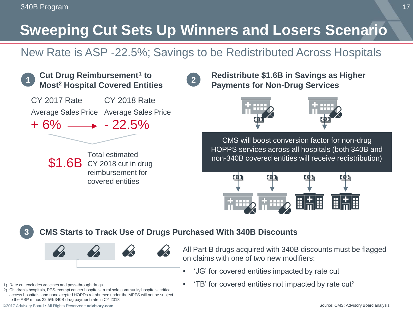# **Sweeping Cut Sets Up Winners and Losers Scenario**

### New Rate is ASP -22.5%; Savings to be Redistributed Across Hospitals



#### **CMS Starts to Track Use of Drugs Purchased With 340B Discounts**



All Part B drugs acquired with 340B discounts must be flagged on claims with one of two new modifiers:

- 'JG' for covered entities impacted by rate cut
- 'TB' for covered entities not impacted by rate cut<sup>2</sup>

**3**

2) Children's hospitals, PPS-exempt cancer hospitals, rural sole community hospitals, critical access hospitals, and nonexcepted HOPDs reimbursed under the MPFS will not be subject to the ASP minus 22.5% 340B drug payment rate in CY 2018.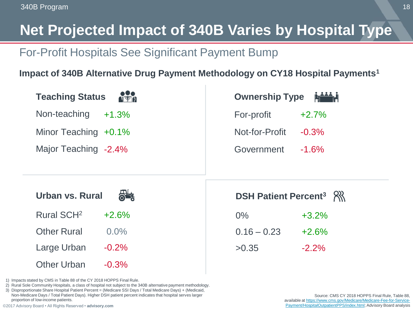# **Net Projected Impact of 340B Varies by Hospital Type**

### For-Profit Hospitals See Significant Payment Bump

### **Impact of 340B Alternative Drug Payment Methodology on CY18 Hospital Payments<sup>1</sup>**

| <b>Teaching Status</b>            | Ownership Type Manage              |
|-----------------------------------|------------------------------------|
| Non-teaching<br>$+1.3%$           | For-profit<br>$+2.7%$              |
| Minor Teaching $+0.1\%$           | Not-for-Profit<br>$-0.3%$          |
| Major Teaching -2.4%              | Government<br>$-1.6%$              |
|                                   |                                    |
|                                   |                                    |
| Urban vs. Rural                   | DSH Patient Percent <sup>3</sup> 8 |
| Rural SCH <sup>2</sup><br>$+2.6%$ | $0\%$<br>$+3.2%$                   |
| <b>Other Rural</b><br>$0.0\%$     | $0.16 - 0.23$<br>$+2.6%$           |
| $-0.2%$<br>Large Urban            | $-2.2%$<br>>0.35                   |

1) Impacts stated by CMS in Table 88 of the CY 2018 HOPPS Final Rule.

2) Rural Sole Community Hospitals, a class of hospital not subject to the 340B alternative payment methodology.

3) Disproportionate Share Hospital Patient Percent = (Medicare SSI Days / Total Medicare Days) + (Medicaid, Non-Medicare Days / Total Patient Days). Higher DSH patient percent indicates that hospital serves larger proportion of low-income patients.

©2017 Advisory Board • All Rights Reserved • **advisory.com**

Source: CMS CY 2018 HOPPS Final Rule, Table 88, available at https://www.cms.gov/Medicare/Medicare-Fee-for-Service-[Payment/HospitalOutpatientPPS/index.html; Advisory Board analysis](https://www.cms.gov/Medicare/Medicare-Fee-for-Service-Payment/HospitalOutpatientPPS/index.html)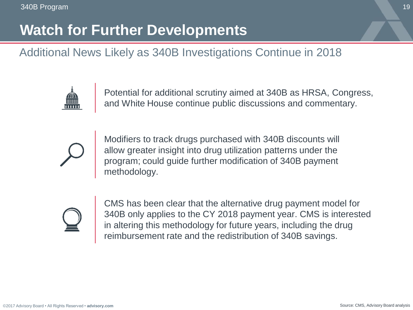# **Watch for Further Developments**

### Additional News Likely as 340B Investigations Continue in 2018



Potential for additional scrutiny aimed at 340B as HRSA, Congress, and White House continue public discussions and commentary.



Modifiers to track drugs purchased with 340B discounts will allow greater insight into drug utilization patterns under the program; could guide further modification of 340B payment methodology.



CMS has been clear that the alternative drug payment model for 340B only applies to the CY 2018 payment year. CMS is interested in altering this methodology for future years, including the drug reimbursement rate and the redistribution of 340B savings.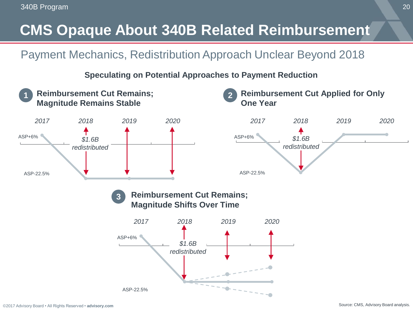# **CMS Opaque About 340B Related Reimbursement**

### Payment Mechanics, Redistribution Approach Unclear Beyond 2018

**Speculating on Potential Approaches to Payment Reduction**

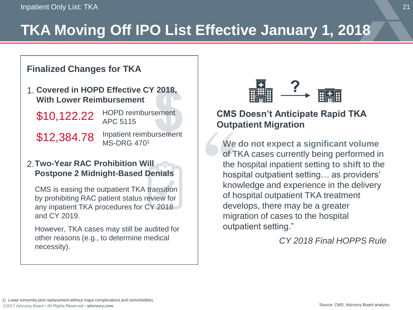# **TKA Moving Off IPO List Effective January 1, 2018**

#### **Finalized Changes for TKA**

**Covered in HOPD Effective CY 2018,**  1. **With Lower Reimbursement** 

\$10,122.22

HOPD reimbursement APC 5115

\$12,384.78

Inpatient reimbursement MS-DRG 470<sup>1</sup>

#### **Two-Year RAC Prohibition Will**  2.**Postpone 2 Midnight-Based Denials**

CMS is easing the outpatient TKA transition by prohibiting RAC patient status review for any inpatient TKA procedures for CY 2018 and CY 2019.

However, TKA cases may still be audited for other reasons (e.g., to determine medical necessity).



### **CMS Doesn't Anticipate Rapid TKA Outpatient Migration**

We **do not expect a significant volume**  of TKA cases currently being performed in the hospital inpatient setting **to shift** to the hospital outpatient setting… as providers' knowledge and experience in the delivery of hospital outpatient TKA treatment develops, there may be a greater migration of cases to the hospital outpatient setting."

*CY 2018 Final HOPPS Rule*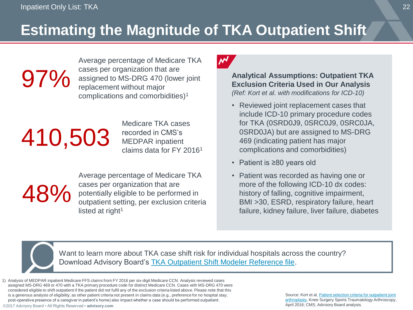# **Estimating the Magnitude of TKA Outpatient Shift**

Average percentage of Medicare TKA cases per organization that are assigned to MS-DRG 470 (lower joint replacement without major complications and comorbidities)<sup>1</sup>

# 410,503

Medicare TKA cases recorded in CMS's MEDPAR inpatient claims data for FY 2016<sup>1</sup>

48%

97%

Average percentage of Medicare TKA cases per organization that are potentially eligible to be performed in outpatient setting, per exclusion criteria listed at right $1$ 

### NΝ

**Analytical Assumptions: Outpatient TKA Exclusion Criteria Used in Our Analysis**  *(Ref: Kort et al. with modifications for ICD-10)*

- Reviewed joint replacement cases that include ICD-10 primary procedure codes for TKA (0SRD0J9, 0SRC0J9, 0SRC0JA, 0SRD0JA) but are assigned to MS-DRG 469 (indicating patient has major complications and comorbidities)
- Patient is ≥80 years old
- Patient was recorded as having one or more of the following ICD-10 dx codes: history of falling, cognitive impairment, BMI >30, ESRD, respiratory failure, heart failure, kidney failure, liver failure, diabetes

Want to learn more about TKA case shift risk for individual hospitals across the country? Download Advisory Board's [TKA Outpatient Shift Modeler Reference file.](https://www.advisory.com/research/financial-leadership-council/events/webconferences/2017/medicare-payment-update-final-rule-for-hospital-outpatient-payments-for-cy-2018)

1) Analysis of MEDPAR inpatient Medicare FFS claims from FY 2016 per six-digit Medicare CCN. Analysis reviewed cases assigned MS-DRG 469 or 470 with a TKA primary procedure code for distinct Medicare CCN. Cases with MS-DRG 470 were considered eligible to shift outpatient if the patient did not fulfil any of the exclusion criteria listed above. Please note that this is a generous analysis of eligibility, as other patient criteria not present in claims data (e.g., preference for no hospital stay; post-operative presence of a caregiver in patient's home) also impact whether a case should be performed outpatient.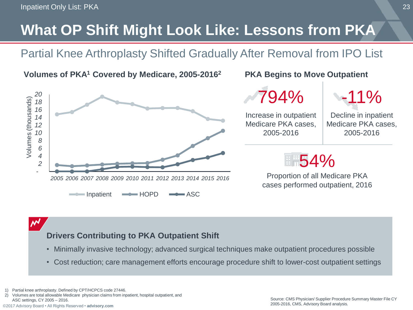# **What OP Shift Might Look Like: Lessons from PKA**

Partial Knee Arthroplasty Shifted Gradually After Removal from IPO List



#### **Volumes of PKA PKA Begins to Move Outpatient <sup>1</sup> Covered by Medicare, 2005-2016<sup>2</sup>**

794%



Increase in outpatient Medicare PKA cases, 2005-2016

Decline in inpatient Medicare PKA cases, 2005-2016

# 54%

Proportion of all Medicare PKA cases performed outpatient, 2016

 $\boldsymbol{\mathcal{N}}$ 

### **Drivers Contributing to PKA Outpatient Shift**

- Minimally invasive technology; advanced surgical techniques make outpatient procedures possible
- Cost reduction; care management efforts encourage procedure shift to lower-cost outpatient settings

1) Partial knee arthroplasty. Defined by CPT/HCPCS code 27446.

2) Volumes are total allowable Medicare physician claims from inpatient, hospital outpatient, and ASC settings, CY 2005 – 2016.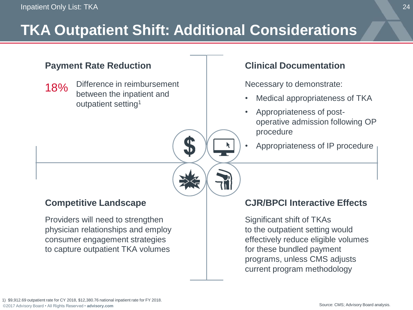# **TKA Outpatient Shift: Additional Considerations**

T

#### **Payment Rate Reduction**

**Select Implications**  18% Difference in reimbursement between the inpatient and outpatient setting<sup>1</sup>

### **Competitive Landscape**

Providers will need to strengthen physician relationships and employ consumer engagement strategies to capture outpatient TKA volumes

#### **Clinical Documentation**

Necessary to demonstrate:

- Medical appropriateness of TKA
- Appropriateness of postoperative admission following OP procedure
- Appropriateness of IP procedure

#### **CJR/BPCI Interactive Effects**

Significant shift of TKAs to the outpatient setting would effectively reduce eligible volumes for these bundled payment programs, unless CMS adjusts current program methodology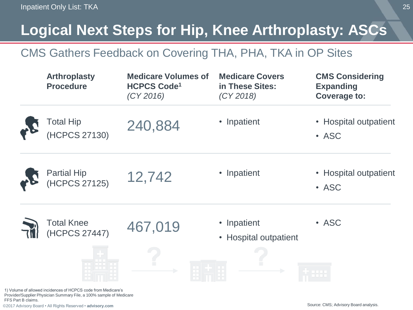# **Logical Next Steps for Hip, Knee Arthroplasty: ASCs**

### CMS Gathers Feedback on Covering THA, PHA, TKA in OP Sites

|  | <b>Arthroplasty</b><br><b>Procedure</b>                                                                                             | <b>Medicare Volumes of</b><br><b>HCPCS Code<sup>1</sup></b><br>(CY 2016) | <b>Medicare Covers</b><br>in These Sites:<br>(CY 2018) | <b>CMS Considering</b><br><b>Expanding</b><br>Coverage to: |
|--|-------------------------------------------------------------------------------------------------------------------------------------|--------------------------------------------------------------------------|--------------------------------------------------------|------------------------------------------------------------|
|  | Total Hip<br>(HCPCS 27130)                                                                                                          | 240,884                                                                  | • Inpatient                                            | • Hospital outpatient<br>• ASC                             |
|  | Partial Hip<br>(HCPCS 27125)                                                                                                        | 12,742                                                                   | • Inpatient                                            | • Hospital outpatient<br>• ASC                             |
|  | Total Knee<br>(HCPCS 27447)                                                                                                         | 467,019                                                                  | • Inpatient<br>• Hospital outpatient                   | • ASC                                                      |
|  | 1) Volume of allowed incidences of HCPCS code from Medicare's<br>Provider/Supplier Physician Summary File a 100% sample of Medicare |                                                                          |                                                        |                                                            |

©2017 Advisory Board • All Rights Reserved • **advisory.com**

FFS Part B claims.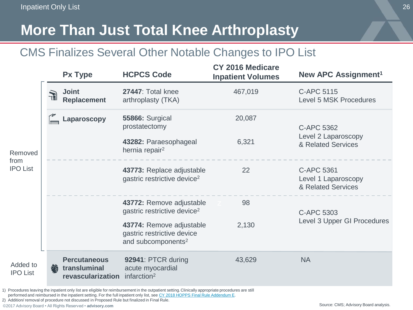# **More Than Just Total Knee Arthroplasty**

### CMS Finalizes Several Other Notable Changes to IPO List

|                             | Px Type                                                       | <b>HCPCS Code</b>                                                                        | CY 2016 Medicare<br><b>Inpatient Volumes</b> | New APC Assignment <sup>1</sup>                         |
|-----------------------------|---------------------------------------------------------------|------------------------------------------------------------------------------------------|----------------------------------------------|---------------------------------------------------------|
|                             | Joint<br>$\widehat{\pi}$<br><b>Replacement</b>                | 27447: Total knee<br>arthroplasty (TKA)                                                  | 467,019                                      | C-APC 5115<br>Level 5 MSK Procedures                    |
|                             | Laparoscopy                                                   | <b>55866: Surgical</b><br>prostatectomy                                                  | 20,087                                       | C-APC 5362                                              |
| Removed                     |                                                               | 43282: Paraesophageal<br>hernia repair <sup>2</sup>                                      | 6,321                                        | Level 2 Laparoscopy<br>& Related Services               |
| from<br><b>IPO List</b>     |                                                               | 43773: Replace adjustable<br>gastric restrictive device <sup>2</sup>                     | 22                                           | C-APC 5361<br>Level 1 Laparoscopy<br>& Related Services |
|                             |                                                               | 43772: Remove adjustable<br>gastric restrictive device <sup>2</sup>                      | 98                                           | C-APC 5303                                              |
|                             |                                                               | 43774: Remove adjustable<br>gastric restrictive device<br>and subcomponents <sup>2</sup> | 2,130                                        | Level 3 Upper GI Procedures                             |
| Added to<br><b>IPO List</b> | <b>Percutaneous</b><br>侨<br>transluminal<br>revascularization | 92941: PTCR during<br>acute myocardial<br>infarction <sup>2</sup>                        | 43,629                                       | <b>NA</b>                                               |

1) Procedures leaving the inpatient only list are eligible for reimbursement in the outpatient setting.Clinically appropriate procedures are still performed and reimbursed in the inpatient setting. For the full inpatient only list, see [CY 2018 HOPPS Final Rule Addendum E](https://www.cms.gov/Medicare/Medicare-Fee-for-Service-Payment/HospitalOutpatientPPS/Hospital-Outpatient-Regulations-and-Notices-Items/CMS-1678-FC.html?DLPage=1&DLEntries=10&DLSort=2&DLSortDir=descending).

2) Addition/ removal of procedure not discussed in Proposed Rule but finalized in Final Rule.

©2017 Advisory Board • All Rights Reserved • **advisory.com**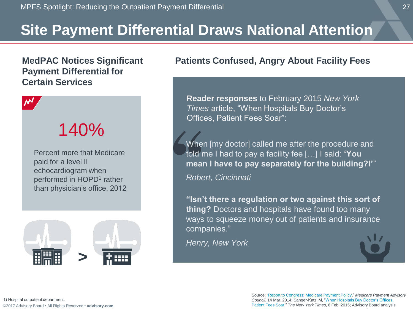# **Site Payment Differential Draws National Attention**

#### **MedPAC Notices Significant Payment Differential for Certain Services**



# 140%

Percent more that Medicare paid for a level II echocardiogram when performed in HOPD<sup>1</sup> rather than physician's office, 2012



#### **Patients Confused, Angry About Facility Fees**

**Reader responses** to February 2015 *New York Times* article, "When Hospitals Buy Doctor's Offices, Patient Fees Soar":

When [my doctor] called me after the procedure and told me I had to pay a facility fee […] I said: **'You mean I have to pay separately for the building?!'**"

*Robert, Cincinnati*

**"Isn't there a regulation or two against this sort of thing?** Doctors and hospitals have found too many ways to squeeze money out of patients and insurance companies."

*Henry, New York* 



Source: ["Report to Congress: Medicare Payment Policy](http://www.medpac.gov/documents/reports/mar14_entirereport.pdf?sfvrsn=0)," *Medicare Payment Advisory Council*[, 14 Mar. 2014; Sanger-Katz, M, "When Hospitals Buy Doctor's Offices,](http://www.nytimes.com/2015/02/07/upshot/medicare-proposal-would-even-out-doctors-pay.html?abt=0002&abg=1) Patient Fees Soar," *The New York Times*, 6 Feb. 2015; Advisory Board analysis.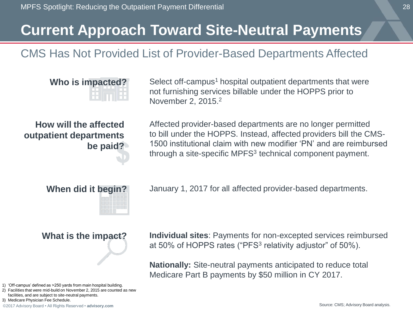### **Current Approach Toward Site-Neutral Payments**

### CMS Has Not Provided List of Provider-Based Departments Affected

**Who is impacted?** Select off-campus<sup>1</sup> hospital outpatient departments that were not furnishing services billable under the HOPPS prior to November 2, 2015.<sup>2</sup>

**How will the affected outpatient departments be paid?**

Affected provider-based departments are no longer permitted to bill under the HOPPS. Instead, affected providers bill the CMS-1500 institutional claim with new modifier 'PN' and are reimbursed through a site-specific MPFS<sup>3</sup> technical component payment.



**When did it begin?** January 1, 2017 for all affected provider-based departments.

1) 'Off-campus' defined as >250 yards from main hospital building.

2) Facilities that were mid-build on November 2, 2015 are counted as new facilities, and are subject to site-neutral payments.

3) Medicare Physician Fee Schedule.

©2017 Advisory Board • All Rights Reserved • **advisory.com**

**What is the impact? Individual sites**: Payments for non-excepted services reimbursed at 50% of HOPPS rates ("PFS<sup>3</sup> relativity adjustor" of 50%).

> **Nationally:** Site-neutral payments anticipated to reduce total Medicare Part B payments by \$50 million in CY 2017.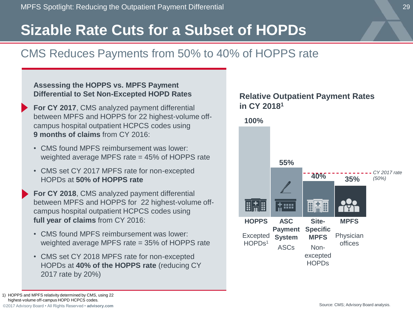### **Sizable Rate Cuts for a Subset of HOPDs**

### CMS Reduces Payments from 50% to 40% of HOPPS rate

#### **Assessing the HOPPS vs. MPFS Payment Differential to Set Non-Excepted HOPD Rates**

- **For CY 2017**, CMS analyzed payment differential between MPFS and HOPPS for 22 highest-volume offcampus hospital outpatient HCPCS codes using **9 months of claims** from CY 2016:
- CMS found MPFS reimbursement was lower: weighted average MPFS rate = 45% of HOPPS rate
- CMS set CY 2017 MPFS rate for non-excepted HOPDs at **50% of HOPPS rate**
- **For CY 2018**, CMS analyzed payment differential between MPFS and HOPPS for 22 highest-volume offcampus hospital outpatient HCPCS codes using **full year of claims** from CY 2016:
- CMS found MPFS reimbursement was lower: weighted average MPFS rate = 35% of HOPPS rate
- CMS set CY 2018 MPFS rate for non-excepted HOPDs at **40% of the HOPPS rate** (reducing CY 2017 rate by 20%)



©2017 Advisory Board • All Rights Reserved • **advisory.com**

<sup>1)</sup> HOPPS and MPFS relativity determined by CMS, using 22 highest-volume off-campus HOPD HCPCS codes.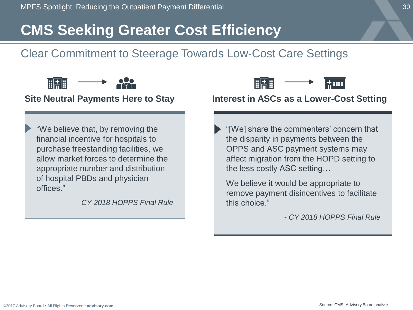# **CMS Seeking Greater Cost Efficiency**

### Clear Commitment to Steerage Towards Low-Cost Care Settings



#### **Site Neutral Payments Here to Stay**

"We believe that, by removing the financial incentive for hospitals to purchase freestanding facilities, we allow market forces to determine the appropriate number and distribution of hospital PBDs and physician offices."

*- CY 2018 HOPPS Final Rule* 



### **Interest in ASCs as a Lower-Cost Setting**

"[We] share the commenters' concern that the disparity in payments between the OPPS and ASC payment systems may affect migration from the HOPD setting to the less costly ASC setting…

We believe it would be appropriate to remove payment disincentives to facilitate this choice."

*- CY 2018 HOPPS Final Rule*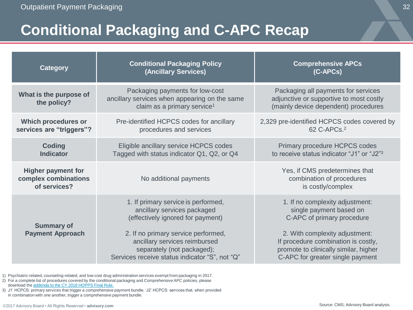# **Conditional Packaging and C-APC Recap**

| Category                                                          | <b>Conditional Packaging Policy</b><br>(Ancillary Services)                                                                                                                     | <b>Comprehensive APCs</b><br>(C-APCs)                                                                                                                             |  |
|-------------------------------------------------------------------|---------------------------------------------------------------------------------------------------------------------------------------------------------------------------------|-------------------------------------------------------------------------------------------------------------------------------------------------------------------|--|
| What is the purpose of<br>the policy?                             | Packaging payments for low-cost<br>ancillary services when appearing on the same<br>claim as a primary service <sup>1</sup>                                                     | Packaging all payments for services<br>adjunctive or supportive to most costly<br>(mainly device dependent) procedures                                            |  |
| Which procedures or<br>services are "triggers"?                   | Pre-identified HCPCS codes for ancillary<br>procedures and services                                                                                                             | 2,329 pre-identified HCPCS codes covered by<br>62 C-APCs. <sup>2</sup>                                                                                            |  |
| Coding<br><b>Indicator</b>                                        | Eligible ancillary service HCPCS codes<br>Tagged with status indicator Q1, Q2, or Q4                                                                                            | Primary procedure HCPCS codes<br>to receive status indicator "J1" or "J2" <sup>3</sup>                                                                            |  |
| <b>Higher payment for</b><br>complex combinations<br>of services? | No additional payments                                                                                                                                                          | Yes, if CMS predetermines that<br>combination of procedures<br>is costly/complex                                                                                  |  |
| <b>Summary of</b><br><b>Payment Approach</b>                      | 1. If primary service is performed,<br>ancillary services packaged<br>(effectively ignored for payment)<br>2. If no primary service performed,<br>ancillary services reimbursed | 1. If no complexity adjustment:<br>single payment based on<br>C-APC of primary procedure<br>2. With complexity adjustment:<br>If procedure combination is costly, |  |
|                                                                   | separately (not packaged);<br>Services receive status indicator "S", not "Q"                                                                                                    | promote to clinically similar, higher<br>C-APC for greater single payment                                                                                         |  |

1) Psychiatric-related, counseling-related, and low-cost drug administration services exempt from packaging in 2017.

2) For a complete list of procedures covered by the conditional packaging and Comprehensive APC policies, please download the [addenda to the CY 2018 HOPPS Final Rule.](https://www.cms.gov/apps/ama/license.asp?file=/Medicare/Medicare-Fee-for-Service-Payment/HospitalOutpatientPPS/Downloads/CMS-1678-FC-2018-OPPS-FR-Addenda.zip) 

3) J1' HCPCS: primary services that trigger a comprehensive payment bundle. 'J2' HCPCS: services that, when provided in combination with one another, trigger a comprehensive payment bundle.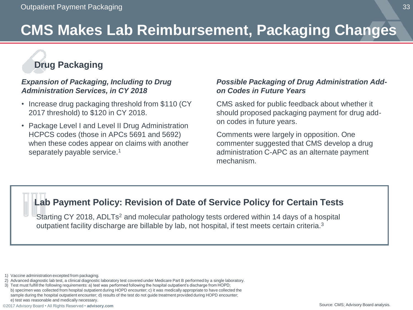# **CMS Makes Lab Reimbursement, Packaging Changes**

### **Drug Packaging**

#### *Expansion of Packaging, Including to Drug Administration Services, in CY 2018*

- Increase drug packaging threshold from \$110 (CY 2017 threshold) to \$120 in CY 2018.
- Package Level I and Level II Drug Administration HCPCS codes (those in APCs 5691 and 5692) when these codes appear on claims with another separately payable service.<sup>1</sup>

#### *Possible Packaging of Drug Administration Addon Codes in Future Years*

CMS asked for public feedback about whether it should proposed packaging payment for drug addon codes in future years.

Comments were largely in opposition. One commenter suggested that CMS develop a drug administration C-APC as an alternate payment mechanism.

### **Lab Payment Policy: Revision of Date of Service Policy for Certain Tests**

Starting CY 2018, ADLTs<sup>2</sup> and molecular pathology tests ordered within 14 days of a hospital outpatient facility discharge are billable by lab, not hospital, if test meets certain criteria.<sup>3</sup>

<sup>1)</sup> Vaccine administration excepted from packaging.

<sup>2)</sup> Advanced diagnostic lab test, a clinical diagnostic laboratory test covered under Medicare Part B performed by a single laboratory.

<sup>3)</sup> Test must fulfill the following requirements: a) test was performed following the hospital outpatient's discharge from HOPD; b) specimen was collected from hospital outpatient during HOPD encounter; c) it was medically appropriate to have collected the sample during the hospital outpatient encounter; d) results of the test do not guide treatment provided during HOPD encounter; e) test was reasonable and medically necessary.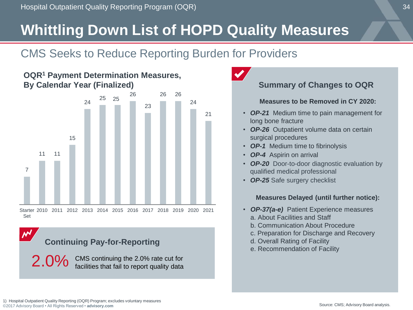# **Whittling Down List of HOPD Quality Measures**

### CMS Seeks to Reduce Reporting Burden for Providers



#### **OQR<sup>1</sup> Payment Determination Measures, By Calendar Year (Finalized)**



2.0% CMS continuing the 2.0% rate cut for<br>facilities that fail to report quality data



### **Summary of Changes to OQR**

#### **Measures to be Removed in CY 2020:**

- *OP-21* Medium time to pain management for long bone fracture
- *OP-26* Outpatient volume data on certain surgical procedures
- *OP-1* Medium time to fibrinolysis
- *OP-4* Aspirin on arrival
- *OP-20* Door-to-door diagnostic evaluation by qualified medical professional
- *OP-25* Safe surgery checklist

#### **Measures Delayed (until further notice):**

- *OP-37(a-e)* Patient Experience measures a. About Facilities and Staff
	-
	- b. Communication About Procedure
	- c. Preparation for Discharge and Recovery
	- d. Overall Rating of Facility
	- e. Recommendation of Facility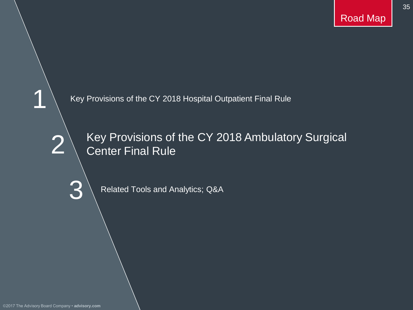35

Key Provisions of the CY 2018 Hospital Outpatient Final Rule

2

1

3

Key Provisions of the CY 2018 Ambulatory Surgical Center Final Rule

Related Tools and Analytics; Q&A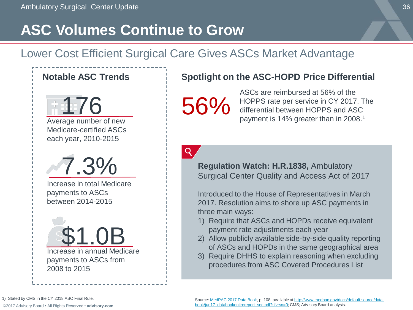# **ASC Volumes Continue to Grow**

### Lower Cost Efficient Surgical Care Gives ASCs Market Advantage



Average number of new Medicare-certified ASCs each year, 2010-2015



Increase in total Medicare payments to ASCs between 2014-2015



#### Notable ASC Trends **Spotlight on the ASC-HOPD Price Differential**

56%

ASCs are reimbursed at 56% of the HOPPS rate per service in CY 2017. The differential between HOPPS and ASC payment is 14% greater than in 2008.<sup>1</sup>

 $\mathsf{Q}$ 

**Regulation Watch: H.R.1838,** Ambulatory Surgical Center Quality and Access Act of 2017

Introduced to the House of Representatives in March 2017. Resolution aims to shore up ASC payments in three main ways:

- 1) Require that ASCs and HOPDs receive equivalent payment rate adjustments each year
- 2) Allow publicly available side-by-side quality reporting of ASCs and HOPDs in the same geographical area
- 3) Require DHHS to explain reasoning when excluding procedures from ASC Covered Procedures List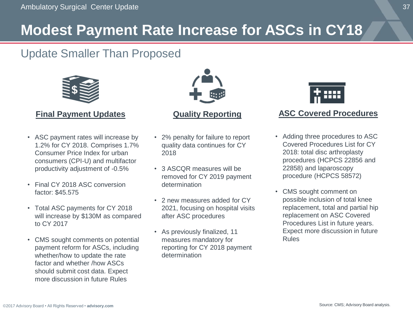# **Modest Payment Rate Increase for ASCs in CY18**

### Update Smaller Than Proposed



#### **Final Payment Updates**

- ASC payment rates will increase by 1.2% for CY 2018. Comprises 1.7% Consumer Price Index for urban consumers (CPI-U) and multifactor productivity adjustment of -0.5%
- Final CY 2018 ASC conversion factor: \$45.575
- Total ASC payments for CY 2018 will increase by \$130M as compared to CY 2017
- CMS sought comments on potential payment reform for ASCs, including whether/how to update the rate factor and whether /how ASCs should submit cost data. Expect more discussion in future Rules



#### **Quality Reporting**

- 2% penalty for failure to report quality data continues for CY 2018
- 3 ASCQR measures will be removed for CY 2019 payment determination
- 2 new measures added for CY 2021, focusing on hospital visits after ASC procedures
- As previously finalized, 11 measures mandatory for reporting for CY 2018 payment determination



#### **ASC Covered Procedures**

- Adding three procedures to ASC Covered Procedures List for CY 2018: total disc arthroplasty procedures (HCPCS 22856 and 22858) and laparoscopy procedure (HCPCS 58572)
- CMS sought comment on possible inclusion of total knee replacement, total and partial hip replacement on ASC Covered Procedures List in future years. Expect more discussion in future Rules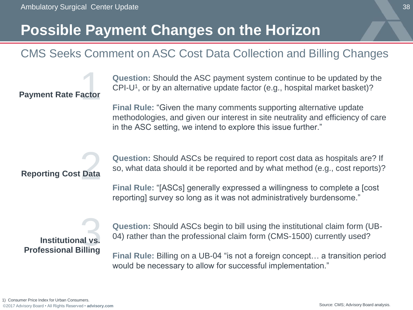actor<br>actor

### **Possible Payment Changes on the Horizon**

### CMS Seeks Comment on ASC Cost Data Collection and Billing Changes

**Question:** Should the ASC payment system continue to be updated by the CPI-U<sup>1</sup>, or by an alternative update factor (e.g., hospital market basket)?

**Final Rule:** "Given the many comments supporting alternative update methodologies, and given our interest in site neutrality and efficiency of care in the ASC setting, we intend to explore this issue further."

#### **Reporting Cost Data**

**Payment Rate Factor**

**Question:** Should ASCs be required to report cost data as hospitals are? If so, what data should it be reported and by what method (e.g., cost reports)?

**Final Rule:** "[ASCs] generally expressed a willingness to complete a [cost reporting] survey so long as it was not administratively burdensome."

# **Professional Billing Institutional vs.** 3

**Question:** Should ASCs begin to bill using the institutional claim form (UB-04) rather than the professional claim form (CMS-1500) currently used?

**Final Rule:** Billing on a UB-04 "is not a foreign concept… a transition period would be necessary to allow for successful implementation."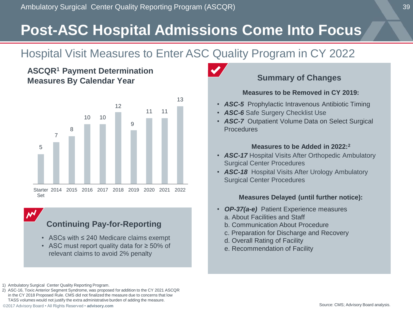# **Post-ASC Hospital Admissions Come Into Focus**

### Hospital Visit Measures to Enter ASC Quality Program in CY 2022

#### **ASCQR<sup>1</sup> Payment Determination Measures By Calendar Year**



#### **Continuing Pay-for-Reporting**

- ASCs with ≤ 240 Medicare claims exempt
- ASC must report quality data for ≥ 50% of relevant claims to avoid 2% penalty

#### 1) Ambulatory Surgical Center Quality Reporting Program.

2) ASC-16, Toxic Anterior Segment Syndrome, was proposed for addition to the CY 2021 ASCQR in the CY 2018 Proposed Rule. CMS did not finalized the measure due to concerns that low TASS volumes would not justify the extra administrative burden of adding the measure.

### **Summary of Changes**

#### **Measures to be Removed in CY 2019:**

- *ASC-5* Prophylactic Intravenous Antibiotic Timing
- *ASC-6* Safe Surgery Checklist Use
- *ASC-7* Outpatient Volume Data on Select Surgical **Procedures**

#### **Measures to be Added in 2022:<sup>2</sup>**

- *ASC-17* Hospital Visits After Orthopedic Ambulatory Surgical Center Procedures
- *ASC-18* Hospital Visits After Urology Ambulatory Surgical Center Procedures

#### **Measures Delayed (until further notice):**

- *OP-37(a-e)* Patient Experience measures
	- a. About Facilities and Staff
	- b. Communication About Procedure
	- c. Preparation for Discharge and Recovery
	- d. Overall Rating of Facility
	- e. Recommendation of Facility